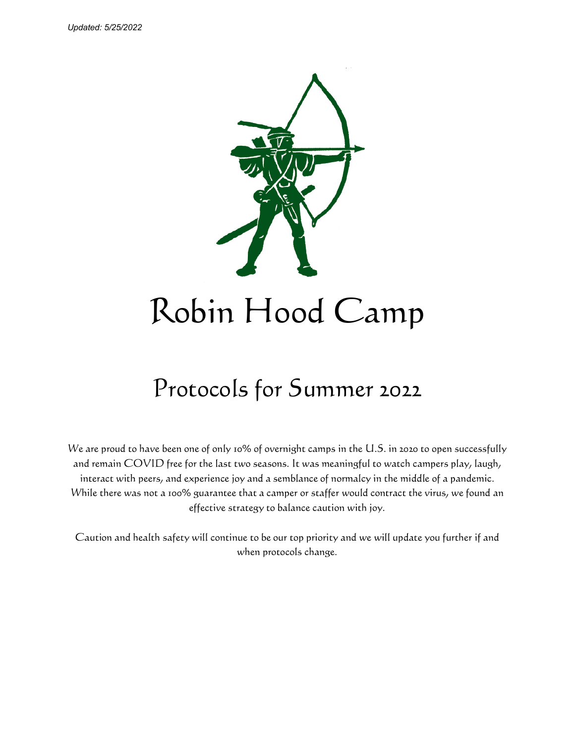

# Robin Hood Camp

# Protocols for Summer 2022

We are proud to have been one of only 10% of overnight camps in the U.S. in 2020 to open successfully and remain COVID free for the last two seasons. It was meaningful to watch campers play, laugh, interact with peers, and experience joy and a semblance of normalcy in the middle of a pandemic. While there was not a 100% guarantee that a camper or staffer would contract the virus, we found an effective strategy to balance caution with joy.

Caution and health safety will continue to be our top priority and we will update you further if and when protocols change.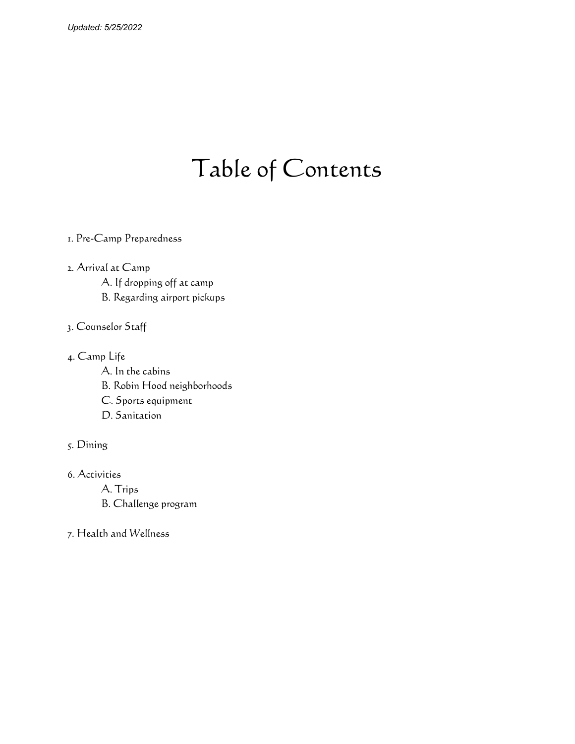## Table of Contents

- 1. Pre-Camp Preparedness
- 2. Arrival at Camp A. If dropping off at camp B. Regarding airport pickups
- 3. Counselor Staff
- 4. Camp Life
	- A. In the cabins
	- B. Robin Hood neighborhoods
	- C. Sports equipment
	- D. Sanitation
- 5. Dining
- 6. Activities
	- A. Trips
	- B. Challenge program
- 7. Health and Wellness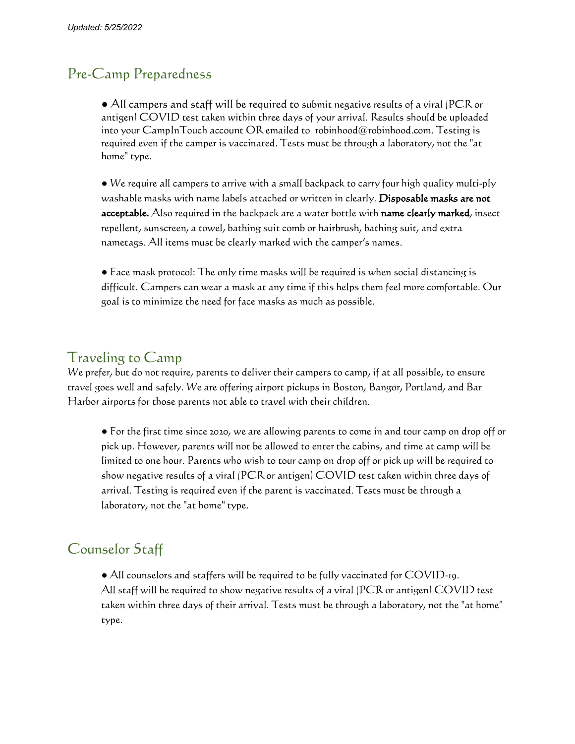#### Pre-Camp Preparedness

● All campers and staff will be required to submit negative results of a viral (PCR or antigen) COVID test taken within three days of your arrival. Results should be uploaded into your CampInTouch account OR emailed to robinhood@robinhood.com. Testing is required even if the camper is vaccinated. Tests must be through a laboratory, not the "at home" type.

● We require all campers to arrive with a small backpack to carry four high quality multi-ply washable masks with name labels attached or written in clearly. Disposable masks are not acceptable. Also required in the backpack are a water bottle with name clearly marked, insect repellent, sunscreen, a towel, bathing suit comb or hairbrush, bathing suit, and extra nametags. All items must be clearly marked with the camper's names.

● Face mask protocol: The only time masks will be required is when social distancing is difficult. Campers can wear a mask at any time if this helps them feel more comfortable. Our goal is to minimize the need for face masks as much as possible.

#### Traveling to Camp

We prefer, but do not require, parents to deliver their campers to camp, if at all possible, to ensure travel goes well and safely. We are offering airport pickups in Boston, Bangor, Portland, and Bar Harbor airports for those parents not able to travel with their children.

*●* For the first time since 2020, we are allowing parents to come in and tour camp on drop off or pick up. However, parents will not be allowed to enter the cabins, and time at camp will be limited to one hour. Parents who wish to tour camp on drop off or pick up will be required to show negative results of a viral (PCR or antigen) COVID test taken within three days of arrival. Testing is required even if the parent is vaccinated. Tests must be through a laboratory, not the "at home" type.

### Counselor Staff

● All counselors and staffers will be required to be fully vaccinated for COVID-19. All staff will be required to show negative results of a viral (PCR or antigen) COVID test taken within three days of their arrival. Tests must be through a laboratory, not the "at home" type.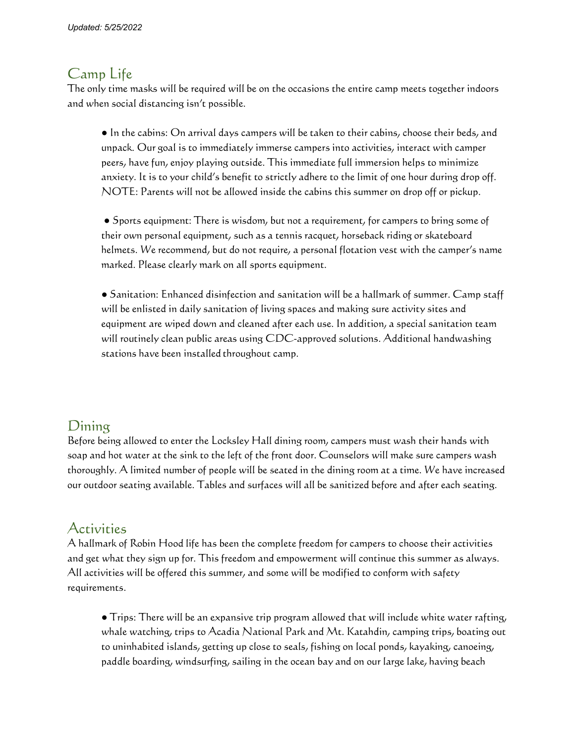#### Camp Life

The only time masks will be required will be on the occasions the entire camp meets together indoors and when social distancing isn't possible.

**●** In the cabins: On arrival days campers will be taken to their cabins, choose their beds, and unpack. Our goal is to immediately immerse campers into activities, interact with camper peers, have fun, enjoy playing outside. This immediate full immersion helps to minimize anxiety. It is to your child's benefit to strictly adhere to the limit of one hour during drop off. NOTE: Parents will not be allowed inside the cabins this summer on drop off or pickup.

**●** Sports equipment: There is wisdom, but not a requirement, for campers to bring some of their own personal equipment, such as a tennis racquet, horseback riding or skateboard helmets. We recommend, but do not require, a personal flotation vest with the camper's name marked. Please clearly mark on all sports equipment.

**●** Sanitation: Enhanced disinfection and sanitation will be a hallmark of summer. Camp staff will be enlisted in daily sanitation of living spaces and making sure activity sites and equipment are wiped down and cleaned after each use. In addition, a special sanitation team will routinely clean public areas using CDC-approved solutions. Additional handwashing stations have been installed throughout camp.

### Dining

Before being allowed to enter the Locksley Hall dining room, campers must wash their hands with soap and hot water at the sink to the left of the front door. Counselors will make sure campers wash thoroughly. A limited number of people will be seated in the dining room at a time. We have increased our outdoor seating available. Tables and surfaces will all be sanitized before and after each seating.

### Activities

A hallmark of Robin Hood life has been the complete freedom for campers to choose their activities and get what they sign up for. This freedom and empowerment will continue this summer as always. All activities will be offered this summer, and some will be modified to conform with safety requirements.

*●* Trips: There will be an expansive trip program allowed that will include white water rafting, whale watching, trips to Acadia National Park and Mt. Katahdin, camping trips, boating out to uninhabited islands, getting up close to seals, fishing on local ponds, kayaking, canoeing, paddle boarding, windsurfing, sailing in the ocean bay and on our large lake, having beach